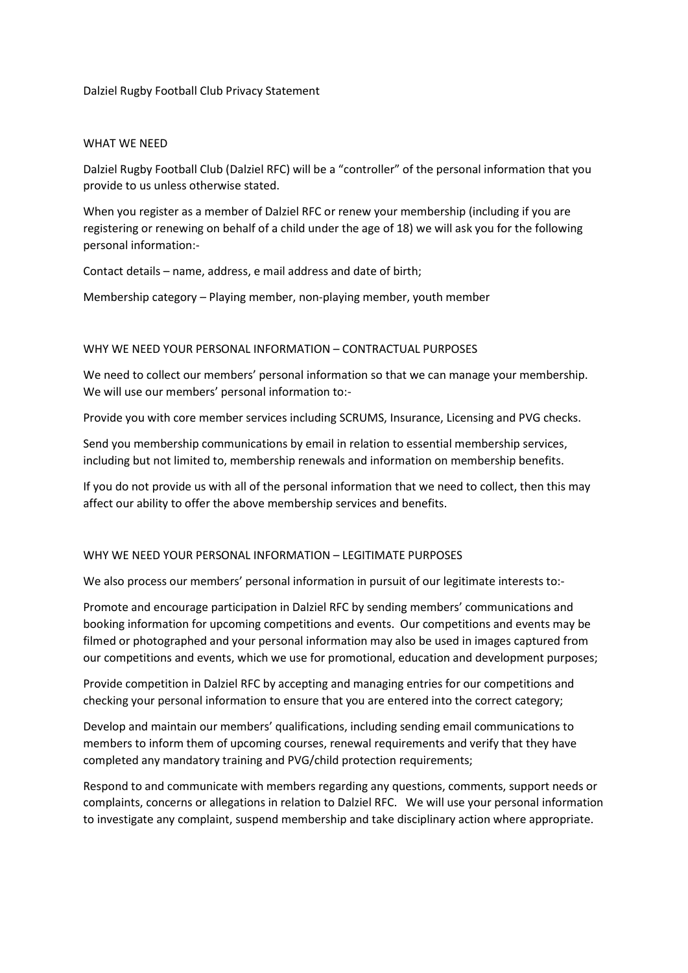Dalziel Rugby Football Club Privacy Statement

#### WHAT WE NEED

Dalziel Rugby Football Club (Dalziel RFC) will be a "controller" of the personal information that you provide to us unless otherwise stated.

When you register as a member of Dalziel RFC or renew your membership (including if you are registering or renewing on behalf of a child under the age of 18) we will ask you for the following personal information:-

Contact details – name, address, e mail address and date of birth;

Membership category – Playing member, non-playing member, youth member

#### WHY WE NEED YOUR PERSONAL INFORMATION – CONTRACTUAL PURPOSES

We need to collect our members' personal information so that we can manage your membership. We will use our members' personal information to:-

Provide you with core member services including SCRUMS, Insurance, Licensing and PVG checks.

Send you membership communications by email in relation to essential membership services, including but not limited to, membership renewals and information on membership benefits.

If you do not provide us with all of the personal information that we need to collect, then this may affect our ability to offer the above membership services and benefits.

# WHY WE NEED YOUR PERSONAL INFORMATION – LEGITIMATE PURPOSES

We also process our members' personal information in pursuit of our legitimate interests to:-

Promote and encourage participation in Dalziel RFC by sending members' communications and booking information for upcoming competitions and events. Our competitions and events may be filmed or photographed and your personal information may also be used in images captured from our competitions and events, which we use for promotional, education and development purposes;

Provide competition in Dalziel RFC by accepting and managing entries for our competitions and checking your personal information to ensure that you are entered into the correct category;

Develop and maintain our members' qualifications, including sending email communications to members to inform them of upcoming courses, renewal requirements and verify that they have completed any mandatory training and PVG/child protection requirements;

Respond to and communicate with members regarding any questions, comments, support needs or complaints, concerns or allegations in relation to Dalziel RFC. We will use your personal information to investigate any complaint, suspend membership and take disciplinary action where appropriate.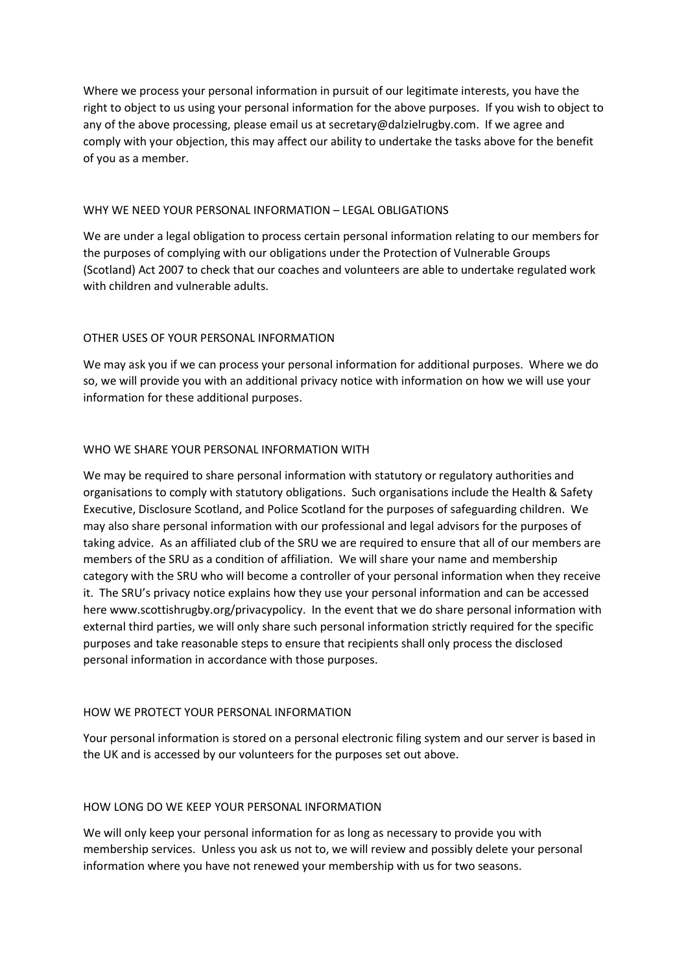Where we process your personal information in pursuit of our legitimate interests, you have the right to object to us using your personal information for the above purposes. If you wish to object to any of the above processing, please email us at secretary@dalzielrugby.com. If we agree and comply with your objection, this may affect our ability to undertake the tasks above for the benefit of you as a member.

# WHY WE NEED YOUR PERSONAL INFORMATION – LEGAL OBLIGATIONS

We are under a legal obligation to process certain personal information relating to our members for the purposes of complying with our obligations under the Protection of Vulnerable Groups (Scotland) Act 2007 to check that our coaches and volunteers are able to undertake regulated work with children and vulnerable adults.

# OTHER USES OF YOUR PERSONAL INFORMATION

We may ask you if we can process your personal information for additional purposes. Where we do so, we will provide you with an additional privacy notice with information on how we will use your information for these additional purposes.

# WHO WE SHARE YOUR PERSONAL INFORMATION WITH

We may be required to share personal information with statutory or regulatory authorities and organisations to comply with statutory obligations. Such organisations include the Health & Safety Executive, Disclosure Scotland, and Police Scotland for the purposes of safeguarding children. We may also share personal information with our professional and legal advisors for the purposes of taking advice. As an affiliated club of the SRU we are required to ensure that all of our members are members of the SRU as a condition of affiliation. We will share your name and membership category with the SRU who will become a controller of your personal information when they receive it. The SRU's privacy notice explains how they use your personal information and can be accessed here www.scottishrugby.org/privacypolicy. In the event that we do share personal information with external third parties, we will only share such personal information strictly required for the specific purposes and take reasonable steps to ensure that recipients shall only process the disclosed personal information in accordance with those purposes.

# HOW WE PROTECT YOUR PERSONAL INFORMATION

Your personal information is stored on a personal electronic filing system and our server is based in the UK and is accessed by our volunteers for the purposes set out above.

# HOW LONG DO WE KEEP YOUR PERSONAL INFORMATION

We will only keep your personal information for as long as necessary to provide you with membership services. Unless you ask us not to, we will review and possibly delete your personal information where you have not renewed your membership with us for two seasons.